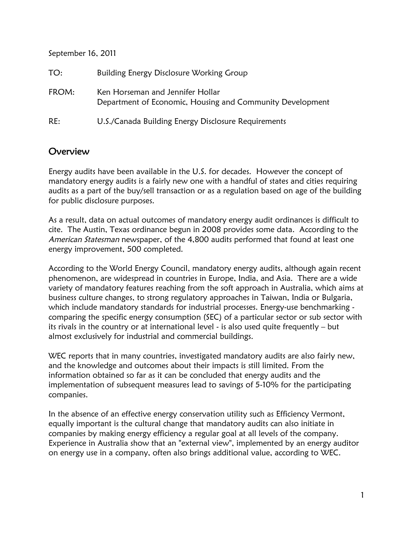September 16, 2011

| TO:   | Building Energy Disclosure Working Group                                                      |
|-------|-----------------------------------------------------------------------------------------------|
| FROM: | Ken Horseman and Jennifer Hollar<br>Department of Economic, Housing and Community Development |
| RE:   | U.S./Canada Building Energy Disclosure Requirements                                           |

## Overview

Energy audits have been available in the U.S. for decades. However the concept of mandatory energy audits is a fairly new one with a handful of states and cities requiring audits as a part of the buy/sell transaction or as a regulation based on age of the building for public disclosure purposes.

As a result, data on actual outcomes of mandatory energy audit ordinances is difficult to cite. The Austin, Texas ordinance begun in 2008 provides some data. According to the American Statesman newspaper, of the 4,800 audits performed that found at least one energy improvement, 500 completed.

According to the World Energy Council, mandatory energy audits, although again recent phenomenon, are widespread in countries in Europe, India, and Asia. There are a wide variety of mandatory features reaching from the soft approach in Australia, which aims at business culture changes, to strong regulatory approaches in Taiwan, India or Bulgaria, which include mandatory standards for industrial processes. Energy-use benchmarking comparing the specific energy consumption (SEC) of a particular sector or sub sector with its rivals in the country or at international level - is also used quite frequently – but almost exclusively for industrial and commercial buildings.

WEC reports that in many countries, investigated mandatory audits are also fairly new, and the knowledge and outcomes about their impacts is still limited. From the information obtained so far as it can be concluded that energy audits and the implementation of subsequent measures lead to savings of 5-10% for the participating companies.

In the absence of an effective energy conservation utility such as Efficiency Vermont, equally important is the cultural change that mandatory audits can also initiate in companies by making energy efficiency a regular goal at all levels of the company. Experience in Australia show that an "external view", implemented by an energy auditor on energy use in a company, often also brings additional value, according to WEC.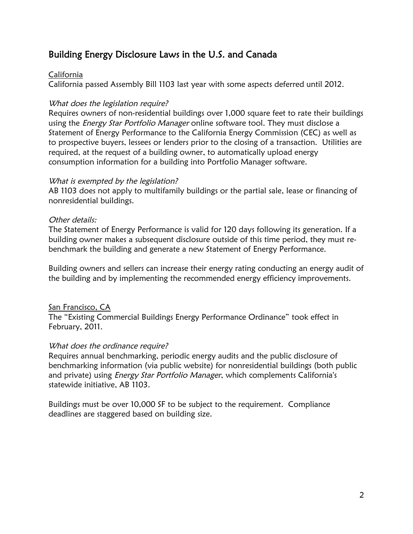## Building Energy Disclosure Laws in the U.S. and Canada

## California

California passed Assembly Bill 1103 last year with some aspects deferred until 2012.

## What does the legislation require?

Requires owners of non-residential buildings over 1,000 square feet to rate their buildings using the *Energy Star Portfolio Manager* online software tool. They must disclose a Statement of Energy Performance to the California Energy Commission (CEC) as well as to prospective buyers, lessees or lenders prior to the closing of a transaction. Utilities are required, at the request of a building owner, to automatically upload energy consumption information for a building into Portfolio Manager software.

## What is exempted by the legislation?

AB 1103 does not apply to multifamily buildings or the partial sale, lease or financing of nonresidential buildings.

## Other details:

The Statement of Energy Performance is valid for 120 days following its generation. If a building owner makes a subsequent disclosure outside of this time period, they must rebenchmark the building and generate a new Statement of Energy Performance.

Building owners and sellers can increase their energy rating conducting an energy audit of the building and by implementing the recommended energy efficiency improvements.

## San Francisco, CA

The "Existing Commercial Buildings Energy Performance Ordinance" took effect in February, 2011.

## What does the ordinance require?

Requires annual benchmarking, periodic energy audits and the public disclosure of benchmarking information (via public website) for nonresidential buildings (both public and private) using *Energy Star Portfolio Manager*, which complements California's statewide initiative, AB 1103.

Buildings must be over 10,000 SF to be subject to the requirement. Compliance deadlines are staggered based on building size.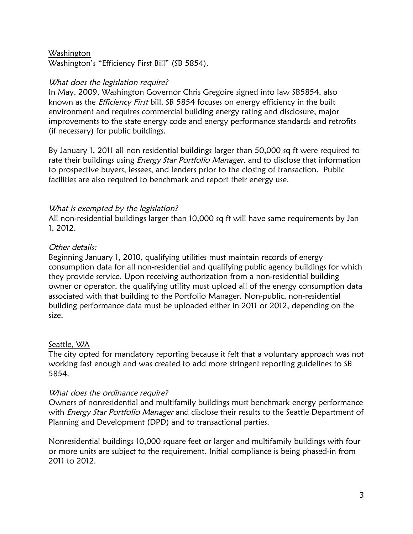#### Washington

Washington's "Efficiency First Bill" (SB 5854).

#### What does the legislation require?

In May, 2009, Washington Governor Chris Gregoire signed into law SB5854, also known as the Efficiency First bill. SB 5854 focuses on energy efficiency in the built environment and requires commercial building energy rating and disclosure, major improvements to the state energy code and energy performance standards and retrofits (if necessary) for public buildings.

By January 1, 2011 all non residential buildings larger than 50,000 sq ft were required to rate their buildings using *Energy Star Portfolio Manager*, and to disclose that information to prospective buyers, lessees, and lenders prior to the closing of transaction. Public facilities are also required to benchmark and report their energy use.

#### What is exempted by the legislation?

All non-residential buildings larger than 10,000 sq ft will have same requirements by Jan 1, 2012.

#### Other details:

Beginning January 1, 2010, qualifying utilities must maintain records of energy consumption data for all non-residential and qualifying public agency buildings for which they provide service. Upon receiving authorization from a non-residential building owner or operator, the qualifying utility must upload all of the energy consumption data associated with that building to the Portfolio Manager. Non-public, non-residential building performance data must be uploaded either in 2011 or 2012, depending on the size.

#### Seattle, WA

The city opted for mandatory reporting because it felt that a voluntary approach was not working fast enough and was created to add more stringent reporting guidelines to SB 5854.

#### What does the ordinance require?

Owners of nonresidential and multifamily buildings must benchmark energy performance with *Energy Star Portfolio Manager* and disclose their results to the Seattle Department of Planning and Development (DPD) and to transactional parties.

Nonresidential buildings 10,000 square feet or larger and multifamily buildings with four or more units are subject to the requirement. Initial compliance is being phased-in from 2011 to 2012.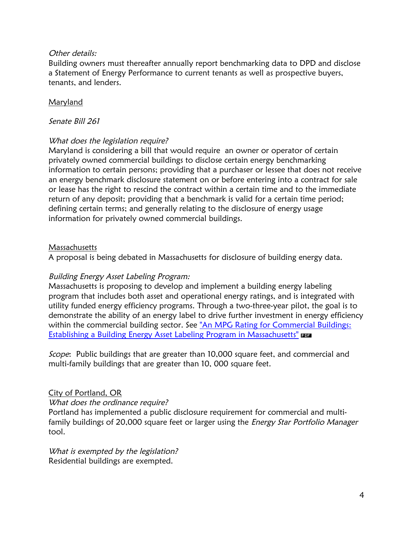## Other details:

Building owners must thereafter annually report benchmarking data to DPD and disclose a Statement of Energy Performance to current tenants as well as prospective buyers, tenants, and lenders.

## Maryland

#### Senate Bill 261

## What does the legislation require?

Maryland is considering a bill that would require an owner or operator of certain privately owned commercial buildings to disclose certain energy benchmarking information to certain persons; providing that a purchaser or lessee that does not receive an energy benchmark disclosure statement on or before entering into a contract for sale or lease has the right to rescind the contract within a certain time and to the immediate return of any deposit; providing that a benchmark is valid for a certain time period; defining certain terms; and generally relating to the disclosure of energy usage information for privately owned commercial buildings.

#### Massachusetts

A proposal is being debated in Massachusetts for disclosure of building energy data.

## Building Energy Asset Labeling Program:

Massachusetts is proposing to develop and implement a building energy labeling program that includes both asset and operational energy ratings, and is integrated with utility funded energy efficiency programs. Through a two-three-year pilot, the goal is to demonstrate the ability of an energy label to drive further investment in energy efficiency within the commercial building sector. See ["An MPG Rating for Commercial Buildings:](http://www.mass.gov/Eoeea/docs/doer/Energy_Efficiency/Asset_Rating_White_Paper.pdf) [Establishing a Building Energy Asset Labeling Program in Massachusetts"](http://www.mass.gov/Eoeea/docs/doer/Energy_Efficiency/Asset_Rating_White_Paper.pdf)

Scope: Public buildings that are greater than 10,000 square feet, and commercial and multi-family buildings that are greater than 10, 000 square feet.

#### City of Portland, OR

#### What does the ordinance require?

Portland has implemented a public disclosure requirement for commercial and multifamily buildings of 20,000 square feet or larger using the *Energy Star Portfolio Manager* tool.

What is exempted by the legislation? Residential buildings are exempted.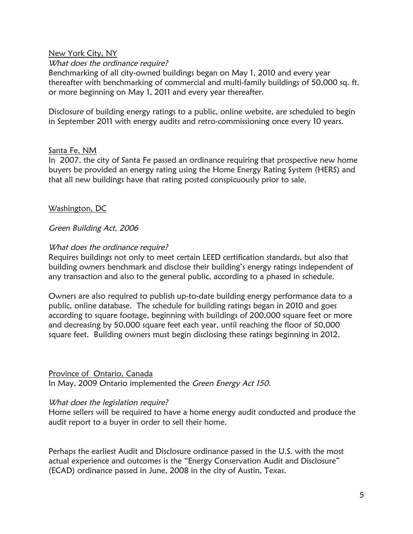#### New York City, NY

#### What does the ordinance require?

Benchmarking of all city-owned buildings began on May 1, 2010 and every year thereafter with benchmarking of commercial and multi-family buildings of 50,000 sq. ft. or more beginning on May 1, 2011 and every year thereafter.

Disclosure of building energy ratings to a public, online website, are scheduled to begin in September 2011 with energy audits and retro-commissioning once every 10 years.

#### Santa Fe, NM

In 2007, the city of Santa Fe passed an ordinance requiring that prospective new home buyers be provided an energy rating using the Home Energy Rating System (HERS) and that all new buildings have that rating posted conspicuously prior to sale.

#### Washington, DC

#### Green Building Act, <sup>2006</sup>

#### What does the ordinance require?

Requires buildings not only to meet certain LEED certification standards, but also that building owners benchmark and disclose their building's energy ratings independent of any transaction and also to the general public, according to a phased in schedule.

Owners are also required to publish up-to-date building energy performance data to a public, online database. The schedule for building ratings began in 2010 and goes according to square footage, beginning with buildings of 200,000 square feet or more and decreasing by 50,000 square feet each year, until reaching the floor of 50,000 square feet. Building owners must begin disclosing these ratings beginning in 2012.

#### Province of Ontario, Canada

In May, 2009 Ontario implemented the Green Energy Act 150.

#### What does the legislation require?

Home sellers will be required to have a home energy audit conducted and produce the audit report to a buyer in order to sell their home.

Perhaps the earliest Audit and Disclosure ordinance passed in the U.S. with the most actual experience and outcomes is the "Energy Conservation Audit and Disclosure" (ECAD) ordinance passed in June, 2008 in the city of Austin, Texas.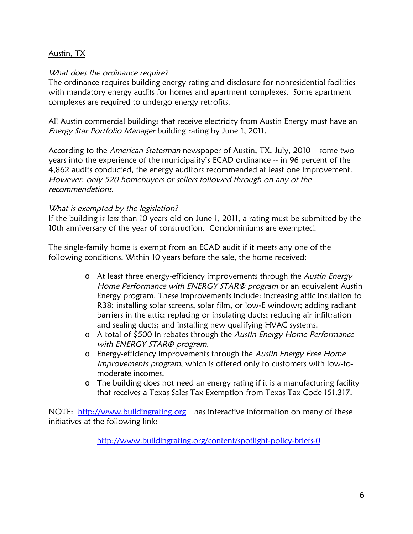## Austin, TX

#### What does the ordinance require?

The ordinance requires building energy rating and disclosure for nonresidential facilities with mandatory energy audits for homes and apartment complexes. Some apartment complexes are required to undergo energy retrofits.

All Austin commercial buildings that receive electricity from Austin Energy must have an Energy Star Portfolio Manager building rating by June 1, 2011.

According to the American Statesman newspaper of Austin, TX, July, 2010 – some two years into the experience of the municipality's ECAD ordinance -- in 96 percent of the 4,862 audits conducted, the energy auditors recommended at least one improvement. However, only <sup>520</sup> homebuyers or sellers followed through on any of the recommendations.

#### What is exempted by the legislation?

If the building is less than 10 years old on June 1, 2011, a rating must be submitted by the 10th anniversary of the year of construction. Condominiums are exempted.

The single-family home is exempt from an ECAD audit if it meets any one of the following conditions. Within 10 years before the sale, the home received:

- o At least three energy-efficiency improvements through the Austin [Energy](http://www.austinenergy.com/Energy Efficiency/Programs/Rebates/Residential/Home Performance with Energy Star/index.htm) Home [Performance](http://www.austinenergy.com/Energy Efficiency/Programs/Rebates/Residential/Home Performance with Energy Star/index.htm) with ENERGY STAR® program or an equivalent Austin Energy program. These improvements include: increasing attic insulation to R38; installing solar screens, solar film, or low-E windows; adding radiant barriers in the attic; replacing or insulating ducts; reducing air infiltration and sealing ducts; and installing new qualifying HVAC systems.
- o A total of \$500 in rebates through the Austin Energy Home [Performance](http://www.austinenergy.com/Energy Efficiency/Programs/Rebates/Residential/Home Performance with Energy Star/index.htm) with [ENERGY](http://www.austinenergy.com/Energy Efficiency/Programs/Rebates/Residential/Home Performance with Energy Star/index.htm) STAR<sup>®</sup> program.
- o [Energy](http://www.austinenergy.com/energy efficiency/programs/free home energy improvements/index.htm)-efficiency improvements through the Austin Energy Free Home [Improvements](http://www.austinenergy.com/energy efficiency/programs/free home energy improvements/index.htm) program, which is offered only to customers with low-tomoderate incomes.
- o The building does not need an energy rating if it is a manufacturing facility that receives a Texas Sales Tax Exemption from Texas Tax Code 151.317.

NOTE: [http://www.buildingrating.org](http://www.buildingrating.org/) has interactive information on many of these initiatives at the following link:

<http://www.buildingrating.org/content/spotlight-policy-briefs-0>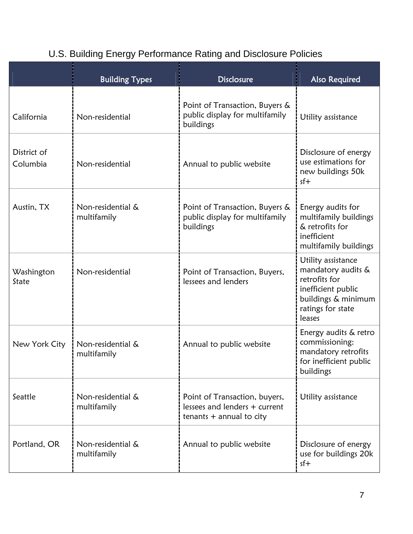|                         | <b>Building Types</b>            | <b>Disclosure</b>                                                                            | <b>Also Required</b>                                                                                                                  |
|-------------------------|----------------------------------|----------------------------------------------------------------------------------------------|---------------------------------------------------------------------------------------------------------------------------------------|
| California              | Non-residential                  | Point of Transaction, Buyers &<br>public display for multifamily<br>buildings                | Utility assistance                                                                                                                    |
| District of<br>Columbia | Non-residential                  | Annual to public website                                                                     | Disclosure of energy<br>use estimations for<br>new buildings 50k<br>$sf+$                                                             |
| Austin, TX              | Non-residential &<br>multifamily | Point of Transaction, Buyers &<br>public display for multifamily<br>buildings                | Energy audits for<br>multifamily buildings<br>& retrofits for<br>inefficient<br>multifamily buildings                                 |
| Washington<br>State     | Non-residential                  | Point of Transaction, Buyers,<br>lessees and lenders                                         | Utility assistance<br>mandatory audits &<br>retrofits for<br>inefficient public<br>buildings & minimum<br>ratings for state<br>leases |
| New York City           | Non-residential &<br>multifamily | Annual to public website                                                                     | Energy audits & retro<br>commissioning:<br>mandatory retrofits<br>for inefficient public<br>buildings                                 |
| Seattle                 | Non-residential &<br>multifamily | Point of Transaction, buyers,<br>lessees and lenders + current<br>tenants $+$ annual to city | Utility assistance                                                                                                                    |
| Portland, OR            | Non-residential &<br>multifamily | Annual to public website                                                                     | Disclosure of energy<br>use for buildings 20k<br>$sf+$                                                                                |

# U.S. Building Energy Performance Rating and Disclosure Policies